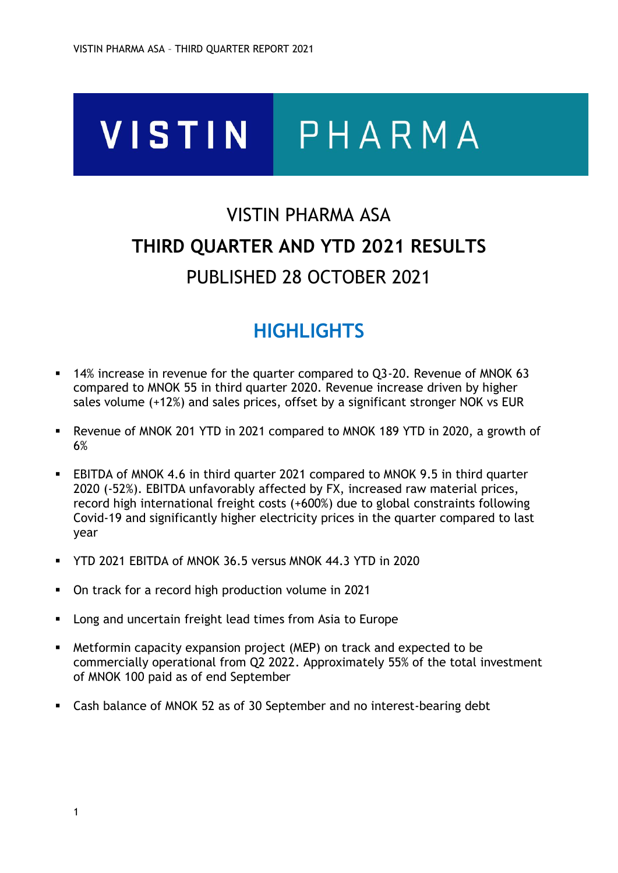# **VISTIN** PHARMA

# VISTIN PHARMA ASA **THIRD QUARTER AND YTD 2021 RESULTS** PUBLISHED 28 OCTOBER 2021

# **HIGHLIGHTS**

- 14% increase in revenue for the quarter compared to Q3-20. Revenue of MNOK 63 compared to MNOK 55 in third quarter 2020. Revenue increase driven by higher sales volume (+12%) and sales prices, offset by a significant stronger NOK vs EUR
- Revenue of MNOK 201 YTD in 2021 compared to MNOK 189 YTD in 2020, a growth of 6%
- EBITDA of MNOK 4.6 in third quarter 2021 compared to MNOK 9.5 in third quarter 2020 (-52%). EBITDA unfavorably affected by FX, increased raw material prices, record high international freight costs (+600%) due to global constraints following Covid-19 and significantly higher electricity prices in the quarter compared to last year
- YTD 2021 EBITDA of MNOK 36.5 versus MNOK 44.3 YTD in 2020
- On track for a record high production volume in 2021
- Long and uncertain freight lead times from Asia to Europe
- Metformin capacity expansion project (MEP) on track and expected to be commercially operational from Q2 2022. Approximately 55% of the total investment of MNOK 100 paid as of end September
- Cash balance of MNOK 52 as of 30 September and no interest-bearing debt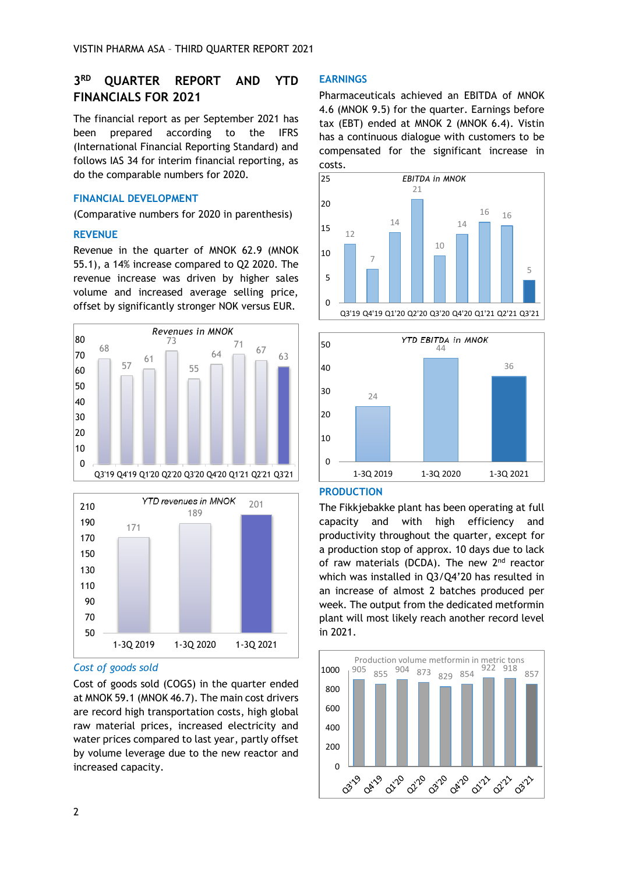#### **3 RD QUARTER REPORT AND YTD FINANCIALS FOR 2021**

The financial report as per September 2021 has been prepared according to the IFRS (International Financial Reporting Standard) and follows IAS 34 for interim financial reporting, as do the comparable numbers for 2020.

## **FINANCIAL DEVELOPMENT**

(Comparative numbers for 2020 in parenthesis)

## **REVENUE**

Revenue in the quarter of MNOK 62.9 (MNOK 55.1), a 14% increase compared to Q2 2020. The revenue increase was driven by higher sales volume and increased average selling price, offset by significantly stronger NOK versus EUR.





### *Cost of goods sold*

Cost of goods sold (COGS) in the quarter ended at MNOK 59.1 (MNOK 46.7). The main cost drivers are record high transportation costs, high global raw material prices, increased electricity and water prices compared to last year, partly offset by volume leverage due to the new reactor and increased capacity.

## **EARNINGS**

Pharmaceuticals achieved an EBITDA of MNOK 4.6 (MNOK 9.5) for the quarter. Earnings before tax (EBT) ended at MNOK 2 (MNOK 6.4). Vistin has a continuous dialogue with customers to be compensated for the significant increase in costs.





### **PRODUCTION**

The Fikkjebakke plant has been operating at full capacity and with high efficiency and productivity throughout the quarter, except for a production stop of approx. 10 days due to lack of raw materials (DCDA). The new 2<sup>nd</sup> reactor which was installed in Q3/Q4'20 has resulted in an increase of almost 2 batches produced per week. The output from the dedicated metformin plant will most likely reach another record level in 2021.

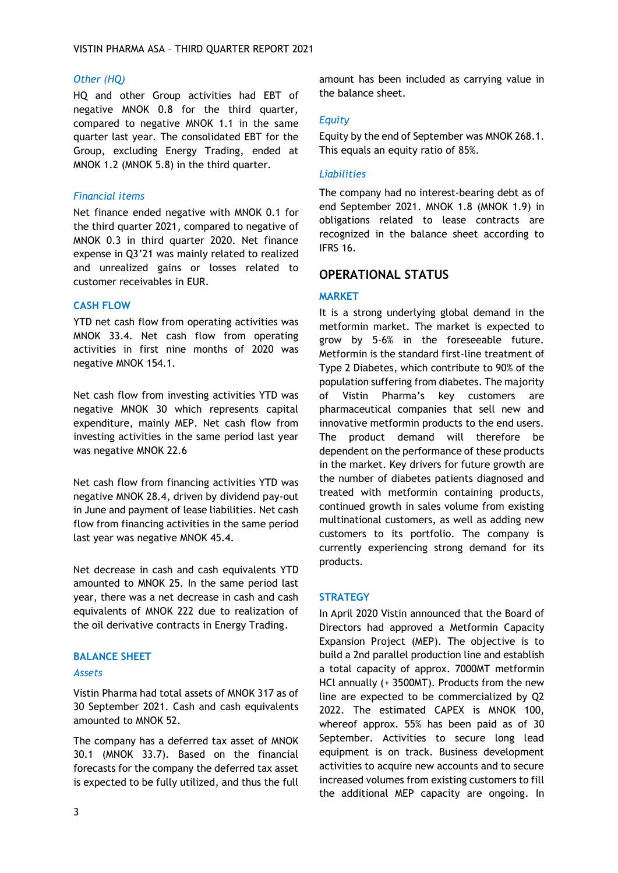# *Other (HQ)*

HQ and other Group activities had EBT of negative MNOK 0.8 for the third quarter, compared to negative MNOK 1.1 in the same quarter last year. The consolidated EBT for the Group, excluding Energy Trading, ended at MNOK 1.2 (MNOK 5.8) in the third quarter.

# *Financial items*

Net finance ended negative with MNOK 0.1 for the third quarter 2021, compared to negative of MNOK 0.3 in third quarter 2020. Net finance expense in Q3'21 was mainly related to realized and unrealized gains or losses related to customer receivables in EUR.

# **CASH FLOW**

YTD net cash flow from operating activities was MNOK 33.4. Net cash flow from operating activities in first nine months of 2020 was negative MNOK 154.1.

Net cash flow from investing activities YTD was negative MNOK 30 which represents capital expenditure, mainly MEP. Net cash flow from investing activities in the same period last year was negative MNOK 22.6

Net cash flow from financing activities YTD was negative MNOK 28.4, driven by dividend pay-out in June and payment of lease liabilities. Net cash flow from financing activities in the same period last year was negative MNOK 45.4.

Net decrease in cash and cash equivalents YTD amounted to MNOK 25. In the same period last year, there was a net decrease in cash and cash equivalents of MNOK 222 due to realization of the oil derivative contracts in Energy Trading.

# **BALANCE SHEET**

## *Assets*

Vistin Pharma had total assets of MNOK 317 as of 30 September 2021. Cash and cash equivalents amounted to MNOK 52.

The company has a deferred tax asset of MNOK 30.1 (MNOK 33.7). Based on the financial forecasts for the company the deferred tax asset is expected to be fully utilized, and thus the full amount has been included as carrying value in the balance sheet.

# *Equity*

Equity by the end of September was MNOK 268.1. This equals an equity ratio of 85%.

# *Liabilities*

The company had no interest-bearing debt as of end September 2021. MNOK 1.8 (MNOK 1.9) in obligations related to lease contracts are recognized in the balance sheet according to IFRS 16.

# **OPERATIONAL STATUS**

# **MARKET**

It is a strong underlying global demand in the metformin market. The market is expected to grow by 5-6% in the foreseeable future. Metformin is the standard first-line treatment of Type 2 Diabetes, which contribute to 90% of the population suffering from diabetes. The majority of Vistin Pharma's key customers are pharmaceutical companies that sell new and innovative metformin products to the end users. The product demand will therefore be dependent on the performance of these products in the market. Key drivers for future growth are the number of diabetes patients diagnosed and treated with metformin containing products, continued growth in sales volume from existing multinational customers, as well as adding new customers to its portfolio. The company is currently experiencing strong demand for its products.

## **STRATEGY**

In April 2020 Vistin announced that the Board of Directors had approved a Metformin Capacity Expansion Project (MEP). The objective is to build a 2nd parallel production line and establish a total capacity of approx. 7000MT metformin HCl annually (+ 3500MT). Products from the new line are expected to be commercialized by Q2 2022. The estimated CAPEX is MNOK 100, whereof approx. 55% has been paid as of 30 September. Activities to secure long lead equipment is on track. Business development activities to acquire new accounts and to secure increased volumes from existing customers to fill the additional MEP capacity are ongoing. In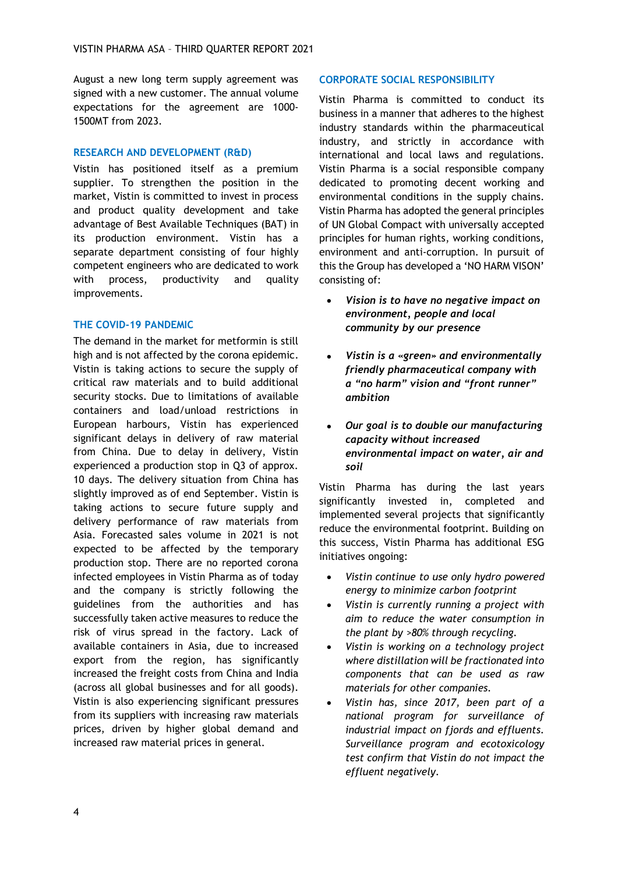August a new long term supply agreement was signed with a new customer. The annual volume expectations for the agreement are 1000- 1500MT from 2023.

# **RESEARCH AND DEVELOPMENT (R&D)**

Vistin has positioned itself as a premium supplier. To strengthen the position in the market, Vistin is committed to invest in process and product quality development and take advantage of Best Available Techniques (BAT) in its production environment. Vistin has a separate department consisting of four highly competent engineers who are dedicated to work with process, productivity and quality improvements.

# **THE COVID-19 PANDEMIC**

The demand in the market for metformin is still high and is not affected by the corona epidemic. Vistin is taking actions to secure the supply of critical raw materials and to build additional security stocks. Due to limitations of available containers and load/unload restrictions in European harbours, Vistin has experienced significant delays in delivery of raw material from China. Due to delay in delivery, Vistin experienced a production stop in Q3 of approx. 10 days. The delivery situation from China has slightly improved as of end September. Vistin is taking actions to secure future supply and delivery performance of raw materials from Asia. Forecasted sales volume in 2021 is not expected to be affected by the temporary production stop. There are no reported corona infected employees in Vistin Pharma as of today and the company is strictly following the guidelines from the authorities and has successfully taken active measures to reduce the risk of virus spread in the factory. Lack of available containers in Asia, due to increased export from the region, has significantly increased the freight costs from China and India (across all global businesses and for all goods). Vistin is also experiencing significant pressures from its suppliers with increasing raw materials prices, driven by higher global demand and increased raw material prices in general.

# **CORPORATE SOCIAL RESPONSIBILITY**

Vistin Pharma is committed to conduct its business in a manner that adheres to the highest industry standards within the pharmaceutical industry, and strictly in accordance with international and local laws and regulations. Vistin Pharma is a social responsible company dedicated to promoting decent working and environmental conditions in the supply chains. Vistin Pharma has adopted the general principles of UN Global Compact with universally accepted principles for human rights, working conditions, environment and anti-corruption. In pursuit of this the Group has developed a 'NO HARM VISON' consisting of:

- *Vision is to have no negative impact on environment, people and local community by our presence*
- *Vistin is a «green» and environmentally friendly pharmaceutical company with a "no harm" vision and "front runner" ambition*
- *Our goal is to double our manufacturing capacity without increased environmental impact on water, air and soil*

Vistin Pharma has during the last years significantly invested in, completed and implemented several projects that significantly reduce the environmental footprint. Building on this success, Vistin Pharma has additional ESG initiatives ongoing:

- *Vistin continue to use only hydro powered energy to minimize carbon footprint*
- *Vistin is currently running a project with aim to reduce the water consumption in the plant by >80% through recycling.*
- *Vistin is working on a technology project where distillation will be fractionated into components that can be used as raw materials for other companies.*
- *Vistin has, since 2017, been part of a national program for surveillance of industrial impact on fjords and effluents. Surveillance program and ecotoxicology test confirm that Vistin do not impact the effluent negatively.*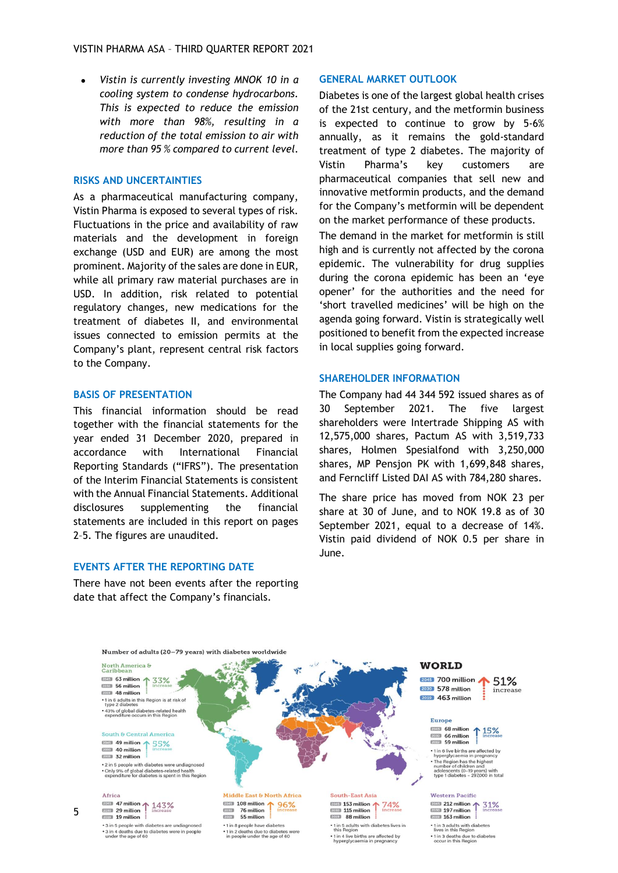• *Vistin is currently investing MNOK 10 in a cooling system to condense hydrocarbons. This is expected to reduce the emission with more than 98%, resulting in a reduction of the total emission to air with more than 95 % compared to current level.*

#### **RISKS AND UNCERTAINTIES**

As a pharmaceutical manufacturing company, Vistin Pharma is exposed to several types of risk. Fluctuations in the price and availability of raw materials and the development in foreign exchange (USD and EUR) are among the most prominent. Majority of the sales are done in EUR, while all primary raw material purchases are in USD. In addition, risk related to potential regulatory changes, new medications for the treatment of diabetes II, and environmental issues connected to emission permits at the Company's plant, represent central risk factors to the Company.

#### **BASIS OF PRESENTATION**

This financial information should be read together with the financial statements for the year ended 31 December 2020, prepared in accordance with International Financial Reporting Standards ("IFRS"). The presentation of the Interim Financial Statements is consistent with the Annual Financial Statements. Additional disclosures supplementing the financial statements are included in this report on pages 2–5. The figures are unaudited.

### **EVENTS AFTER THE REPORTING DATE**

There have not been events after the reporting date that affect the Company's financials.

#### **GENERAL MARKET OUTLOOK**

Diabetes is one of the largest global health crises of the 21st century, and the metformin business is expected to continue to grow by 5-6% annually, as it remains the gold-standard treatment of type 2 diabetes. The majority of Vistin Pharma's key customers are pharmaceutical companies that sell new and innovative metformin products, and the demand for the Company's metformin will be dependent on the market performance of these products.

The demand in the market for metformin is still high and is currently not affected by the corona epidemic. The vulnerability for drug supplies during the corona epidemic has been an 'eye opener' for the authorities and the need for 'short travelled medicines' will be high on the agenda going forward. Vistin is strategically well positioned to benefit from the expected increase in local supplies going forward.

#### **SHAREHOLDER INFORMATION**

The Company had 44 344 592 issued shares as of 30 September 2021. The five largest shareholders were Intertrade Shipping AS with 12,575,000 shares, Pactum AS with 3,519,733 shares, Holmen Spesialfond with 3,250,000 shares, MP Pensjon PK with 1,699,848 shares, and Ferncliff Listed DAI AS with 784,280 shares.

The share price has moved from NOK 23 per share at 30 of June, and to NOK 19.8 as of 30 September 2021, equal to a decrease of 14%. Vistin paid dividend of NOK 0.5 per share in June.

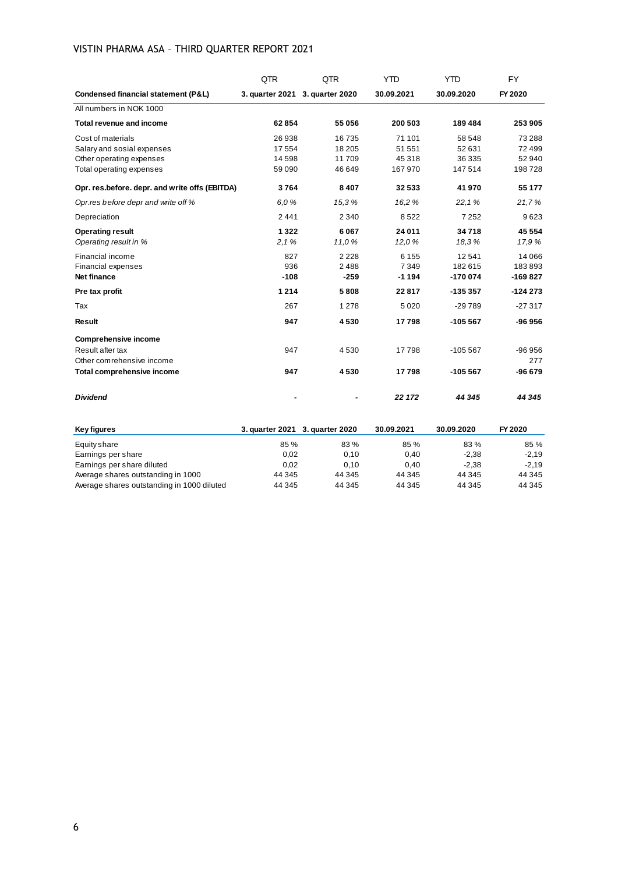# VISTIN PHARMA ASA – THIRD QUARTER REPORT 2021

|                                                | QTR             | QTR             | <b>YTD</b> | <b>YTD</b> | <b>FY</b> |
|------------------------------------------------|-----------------|-----------------|------------|------------|-----------|
| Condensed financial statement (P&L)            | 3. quarter 2021 | 3. quarter 2020 | 30.09.2021 | 30.09.2020 | FY 2020   |
| All numbers in NOK 1000                        |                 |                 |            |            |           |
| Total revenue and income                       | 62854           | 55 056          | 200 503    | 189 484    | 253 905   |
| Cost of materials                              | 26 938          | 16735           | 71 101     | 58 548     | 73 288    |
| Salary and sosial expenses                     | 17 554          | 18 205          | 51 551     | 52 631     | 72 499    |
| Other operating expenses                       | 14 5 98         | 11709           | 45 318     | 36 335     | 52 940    |
| Total operating expenses                       | 59 090          | 46 649          | 167 970    | 147 514    | 198728    |
| Opr. res.before. depr. and write offs (EBITDA) | 3764            | 8 4 0 7         | 32 533     | 41 970     | 55 177    |
| Opr.res before depr and write off %            | 6.0%            | 15,3%           | 16,2 %     | 22,1%      | 21,7%     |
| Depreciation                                   | 2441            | 2 3 4 0         | 8522       | 7 2 5 2    | 9623      |
| <b>Operating result</b>                        | 1322            | 6067            | 24 011     | 34718      | 45 554    |
| Operating result in %                          | 2,1%            | 11,0 %          | 12,0%      | 18,3%      | 17,9 %    |
| Financial income                               | 827             | 2 2 2 8         | 6 1 5 5    | 12541      | 14 066    |
| Financial expenses                             | 936             | 2488            | 7349       | 182615     | 183893    |
| Net finance                                    | $-108$          | $-259$          | $-1194$    | $-170074$  | $-169827$ |
| Pre tax profit                                 | 1 2 1 4         | 5808            | 22817      | $-135357$  | $-124273$ |
| Tax                                            | 267             | 1 2 7 8         | 5 0 2 0    | $-29789$   | $-27317$  |
| <b>Result</b>                                  | 947             | 4530            | 17798      | $-105567$  | $-96956$  |
| <b>Comprehensive income</b>                    |                 |                 |            |            |           |
| Result after tax                               | 947             | 4530            | 17798      | $-105567$  | $-96956$  |
| Other comrehensive income                      |                 |                 |            |            | 277       |
| Total comprehensive income                     | 947             | 4530            | 17798      | $-105567$  | $-96679$  |
| <b>Dividend</b>                                |                 |                 | 22 172     | 44 345     | 44 345    |

| Key figures                                | 3. quarter 2021 3. quarter 2020 |        | 30.09.2021 | 30.09.2020 | FY 2020 |
|--------------------------------------------|---------------------------------|--------|------------|------------|---------|
| Equity share                               | 85%                             | 83%    | 85%        | 83%        | 85 %    |
| Earnings per share                         | 0.02                            | 0.10   | 0.40       | $-2.38$    | $-2.19$ |
| Earnings per share diluted                 | 0.02                            | 0.10   | 0.40       | $-2.38$    | $-2.19$ |
| Average shares outstanding in 1000         | 44 345                          | 44 345 | 44 345     | 44 345     | 44 345  |
| Average shares outstanding in 1000 diluted | 44 345                          | 44 345 | 44 345     | 44 345     | 44 345  |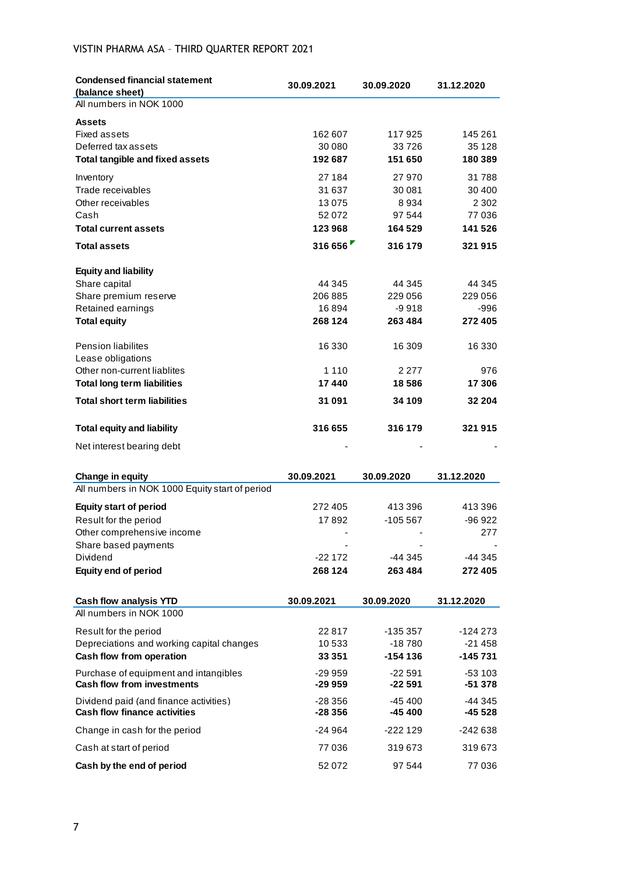# VISTIN PHARMA ASA – THIRD QUARTER REPORT 2021

| <b>Condensed financial statement</b><br>(balance sheet)  | 30.09.2021        | 30.09.2020           | 31.12.2020        |
|----------------------------------------------------------|-------------------|----------------------|-------------------|
| All numbers in NOK 1000                                  |                   |                      |                   |
| <b>Assets</b>                                            |                   |                      |                   |
| Fixed assets                                             | 162 607           | 117925               | 145 261           |
| Deferred tax assets                                      | 30 080            | 33726                | 35 1 28           |
| <b>Total tangible and fixed assets</b>                   | 192 687           | 151 650              | 180 389           |
| Inventory                                                | 27 184            | 27 970               | 31788             |
| Trade receivables                                        | 31 637            | 30 081               | 30 400            |
| Other receivables                                        | 13 0 75           | 8934                 | 2 3 0 2           |
| Cash<br><b>Total current assets</b>                      | 52 072<br>123 968 | 97 544<br>164 529    | 77 036<br>141 526 |
|                                                          | 316 656           |                      | 321 915           |
| <b>Total assets</b>                                      |                   | 316 179              |                   |
| <b>Equity and liability</b>                              |                   |                      |                   |
| Share capital                                            | 44 345            | 44 345               | 44 345            |
| Share premium reserve                                    | 206 885           | 229 056              | 229 056           |
| Retained earnings                                        | 16894             | $-9918$              | -996              |
| <b>Total equity</b>                                      | 268 124           | 263 484              | 272 405           |
| <b>Pension liabilites</b>                                | 16 330            | 16 309               | 16 330            |
| Lease obligations                                        |                   |                      |                   |
| Other non-current liablites                              | 1 1 1 0           | 2 2 7 7              | 976               |
| <b>Total long term liabilities</b>                       | 17440             | 18 5 8 6             | 17 306            |
| <b>Total short term liabilities</b>                      | 31 091            | 34 109               | 32 204            |
| <b>Total equity and liability</b>                        | 316 655           | 316 179              | 321 915           |
| Net interest bearing debt                                |                   |                      |                   |
| <b>Change in equity</b>                                  | 30.09.2021        | 30.09.2020           | 31.12.2020        |
| All numbers in NOK 1000 Equity start of period           |                   |                      |                   |
| <b>Equity start of period</b>                            | 272 405           | 413 396              | 413 396           |
| Result for the period                                    | 17892             | $-105567$            | $-96922$          |
| Other comprehensive income                               |                   |                      | 277               |
| Share based payments                                     |                   |                      |                   |
| Dividend                                                 | $-22172$          | -44 345              | -44 345           |
| <b>Equity end of period</b>                              | 268 124           | 263 484              | 272 405           |
|                                                          |                   |                      |                   |
| <b>Cash flow analysis YTD</b><br>All numbers in NOK 1000 | 30.09.2021        | 30.09.2020           | 31.12.2020        |
| Result for the period                                    | 22 817            |                      | $-124273$         |
| Depreciations and working capital changes                | 10 533            | -135 357<br>$-18780$ | $-21458$          |
| Cash flow from operation                                 | 33 351            | $-154136$            | -145 731          |
| Purchase of equipment and intangibles                    | $-299959$         | -22 591              | $-53103$          |
| <b>Cash flow from investments</b>                        | -29 959           | $-22591$             | $-51378$          |
| Dividend paid (and finance activities)                   | $-28356$          | $-45400$             | -44 345           |
| <b>Cash flow finance activities</b>                      | -28 356           | $-45400$             | -45 528           |
| Change in cash for the period                            | $-24964$          | -222 129             | -242 638          |
| Cash at start of period                                  | 77 036            | 319673               | 319673            |
| Cash by the end of period                                | 52 072            | 97 544               | 77 036            |